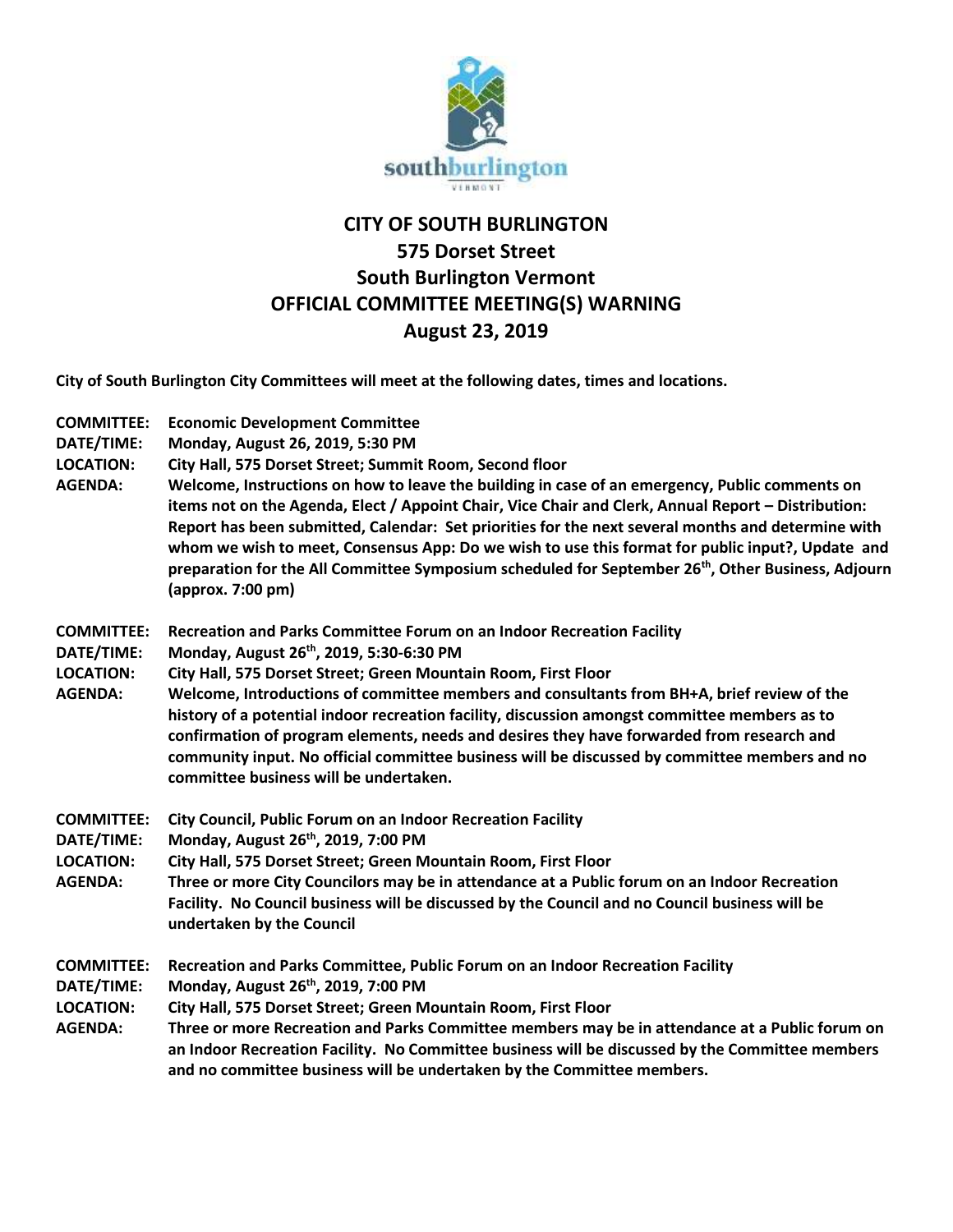

## **CITY OF SOUTH BURLINGTON 575 Dorset Street South Burlington Vermont OFFICIAL COMMITTEE MEETING(S) WARNING August 23, 2019**

**City of South Burlington City Committees will meet at the following dates, times and locations.** 

| <b>COMMITTEE:</b><br>DATE/TIME:<br><b>LOCATION:</b><br><b>AGENDA:</b> | <b>Economic Development Committee</b><br>Monday, August 26, 2019, 5:30 PM<br>City Hall, 575 Dorset Street; Summit Room, Second floor<br>Welcome, Instructions on how to leave the building in case of an emergency, Public comments on<br>items not on the Agenda, Elect / Appoint Chair, Vice Chair and Clerk, Annual Report - Distribution:<br>Report has been submitted, Calendar: Set priorities for the next several months and determine with<br>whom we wish to meet, Consensus App: Do we wish to use this format for public input?, Update and<br>preparation for the All Committee Symposium scheduled for September 26 <sup>th</sup> , Other Business, Adjourn<br>(approx. 7:00 pm) |
|-----------------------------------------------------------------------|------------------------------------------------------------------------------------------------------------------------------------------------------------------------------------------------------------------------------------------------------------------------------------------------------------------------------------------------------------------------------------------------------------------------------------------------------------------------------------------------------------------------------------------------------------------------------------------------------------------------------------------------------------------------------------------------|
| <b>COMMITTEE:</b><br>DATE/TIME:<br><b>LOCATION:</b><br><b>AGENDA:</b> | Recreation and Parks Committee Forum on an Indoor Recreation Facility<br>Monday, August 26 <sup>th</sup> , 2019, 5:30-6:30 PM<br>City Hall, 575 Dorset Street; Green Mountain Room, First Floor<br>Welcome, Introductions of committee members and consultants from BH+A, brief review of the<br>history of a potential indoor recreation facility, discussion amongst committee members as to<br>confirmation of program elements, needs and desires they have forwarded from research and<br>community input. No official committee business will be discussed by committee members and no<br>committee business will be undertaken.                                                         |
| <b>COMMITTEE:</b><br>DATE/TIME:<br><b>LOCATION:</b><br><b>AGENDA:</b> | City Council, Public Forum on an Indoor Recreation Facility<br>Monday, August 26th, 2019, 7:00 PM<br>City Hall, 575 Dorset Street; Green Mountain Room, First Floor<br>Three or more City Councilors may be in attendance at a Public forum on an Indoor Recreation<br>Facility. No Council business will be discussed by the Council and no Council business will be<br>undertaken by the Council                                                                                                                                                                                                                                                                                             |
| <b>COMMITTEE:</b><br>DATE/TIME:<br><b>LOCATION:</b><br><b>AGENDA:</b> | Recreation and Parks Committee, Public Forum on an Indoor Recreation Facility<br>Monday, August 26 <sup>th</sup> , 2019, 7:00 PM<br>City Hall, 575 Dorset Street; Green Mountain Room, First Floor<br>Three or more Recreation and Parks Committee members may be in attendance at a Public forum on<br>an Indoor Recreation Facility. No Committee business will be discussed by the Committee members<br>and no committee business will be undertaken by the Committee members.                                                                                                                                                                                                              |